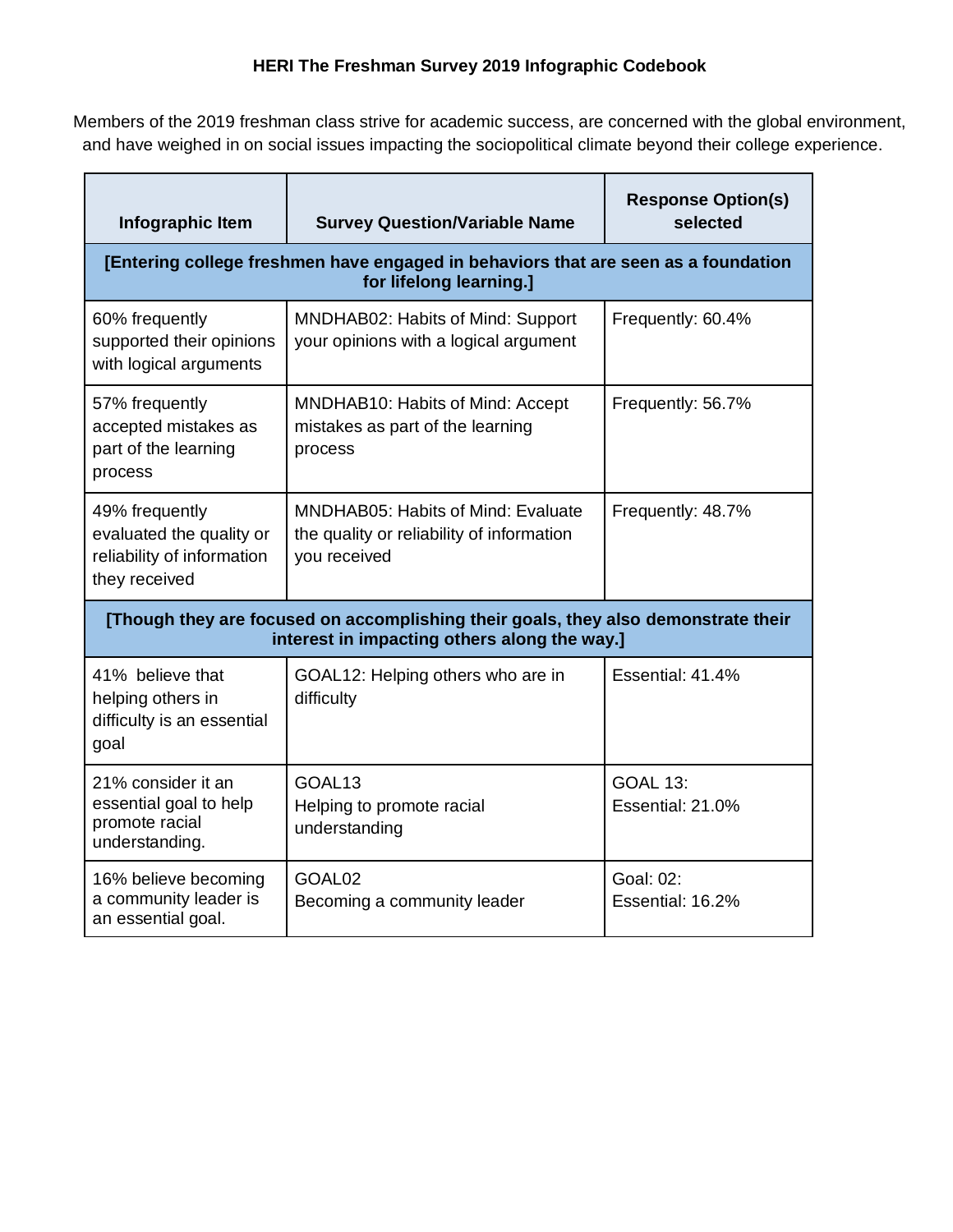## **HERI The Freshman Survey 2019 Infographic Codebook**

Members of the 2019 freshman class strive for academic success, are concerned with the global environment, and have weighed in on social issues impacting the sociopolitical climate beyond their college experience.

| Infographic Item                                                                                                                   | <b>Survey Question/Variable Name</b>                                                                   | <b>Response Option(s)</b><br>selected |  |  |
|------------------------------------------------------------------------------------------------------------------------------------|--------------------------------------------------------------------------------------------------------|---------------------------------------|--|--|
| [Entering college freshmen have engaged in behaviors that are seen as a foundation<br>for lifelong learning.]                      |                                                                                                        |                                       |  |  |
| 60% frequently<br>supported their opinions<br>with logical arguments                                                               | MNDHAB02: Habits of Mind: Support<br>your opinions with a logical argument                             | Frequently: 60.4%                     |  |  |
| 57% frequently<br>accepted mistakes as<br>part of the learning<br>process                                                          | MNDHAB10: Habits of Mind: Accept<br>mistakes as part of the learning<br>process                        | Frequently: 56.7%                     |  |  |
| 49% frequently<br>evaluated the quality or<br>reliability of information<br>they received                                          | <b>MNDHAB05: Habits of Mind: Evaluate</b><br>the quality or reliability of information<br>you received | Frequently: 48.7%                     |  |  |
| [Though they are focused on accomplishing their goals, they also demonstrate their<br>interest in impacting others along the way.] |                                                                                                        |                                       |  |  |
| 41% believe that<br>helping others in<br>difficulty is an essential<br>goal                                                        | GOAL12: Helping others who are in<br>difficulty                                                        | Essential: 41.4%                      |  |  |
| 21% consider it an<br>essential goal to help<br>promote racial<br>understanding.                                                   | GOAL <sub>13</sub><br>Helping to promote racial<br>understanding                                       | <b>GOAL 13:</b><br>Essential: 21.0%   |  |  |
| 16% believe becoming<br>a community leader is<br>an essential goal.                                                                | GOAL <sub>02</sub><br>Becoming a community leader                                                      | Goal: 02:<br>Essential: 16.2%         |  |  |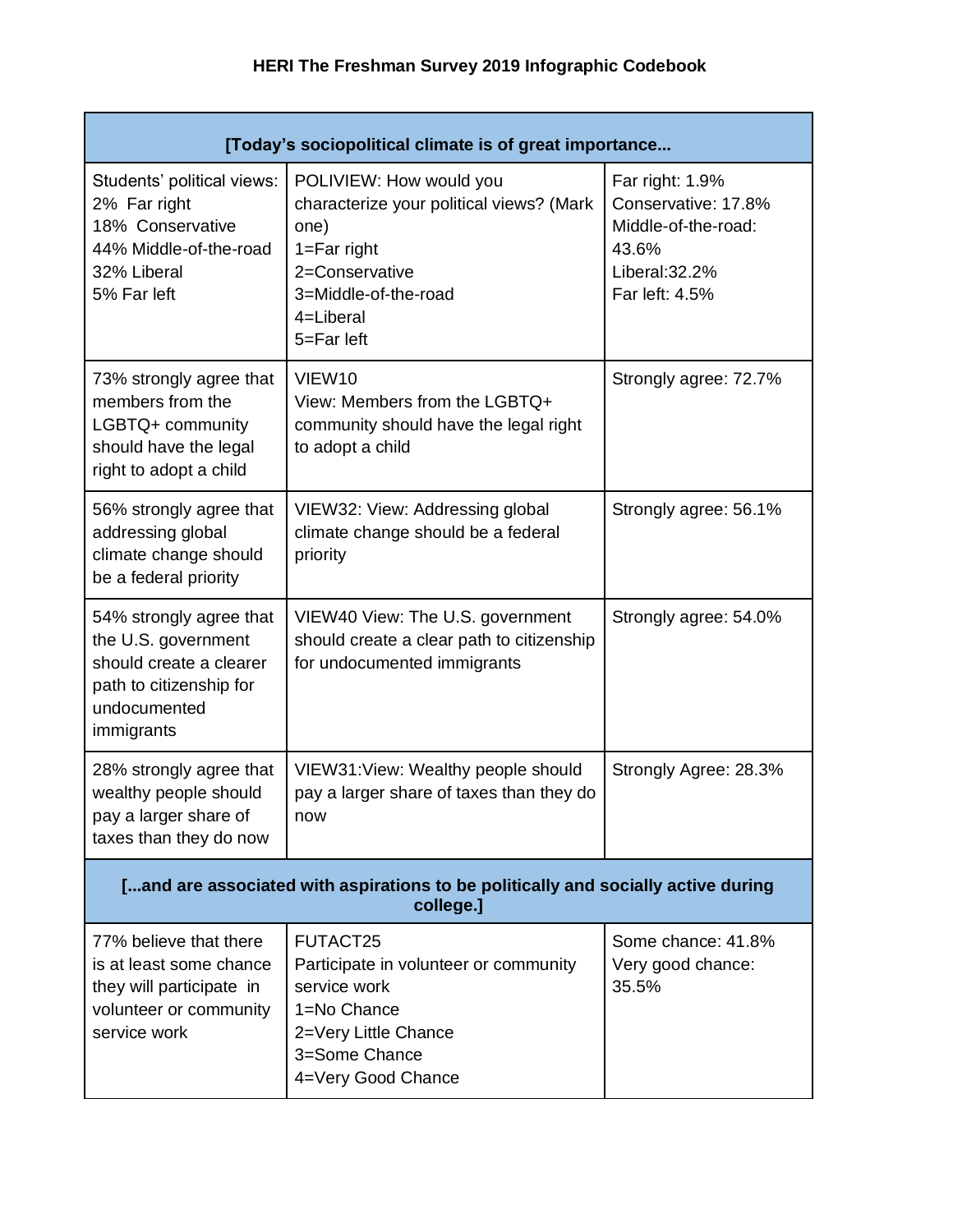| [Today's sociopolitical climate is of great importance                                                                             |                                                                                                                                                                     |                                                                                                            |  |  |
|------------------------------------------------------------------------------------------------------------------------------------|---------------------------------------------------------------------------------------------------------------------------------------------------------------------|------------------------------------------------------------------------------------------------------------|--|--|
| Students' political views:<br>2% Far right<br>18% Conservative<br>44% Middle-of-the-road<br>32% Liberal<br>5% Far left             | POLIVIEW: How would you<br>characterize your political views? (Mark<br>one)<br>$1 = Far$ right<br>2=Conservative<br>3=Middle-of-the-road<br>4=Liberal<br>5=Far left | Far right: 1.9%<br>Conservative: 17.8%<br>Middle-of-the-road:<br>43.6%<br>Liberal: 32.2%<br>Far left: 4.5% |  |  |
| 73% strongly agree that<br>members from the<br>LGBTQ+ community<br>should have the legal<br>right to adopt a child                 | VIEW <sub>10</sub><br>View: Members from the LGBTQ+<br>community should have the legal right<br>to adopt a child                                                    | Strongly agree: 72.7%                                                                                      |  |  |
| 56% strongly agree that<br>addressing global<br>climate change should<br>be a federal priority                                     | VIEW32: View: Addressing global<br>climate change should be a federal<br>priority                                                                                   | Strongly agree: 56.1%                                                                                      |  |  |
| 54% strongly agree that<br>the U.S. government<br>should create a clearer<br>path to citizenship for<br>undocumented<br>immigrants | VIEW40 View: The U.S. government<br>should create a clear path to citizenship<br>for undocumented immigrants                                                        | Strongly agree: 54.0%                                                                                      |  |  |
| 28% strongly agree that<br>wealthy people should<br>pay a larger share of<br>taxes than they do now                                | VIEW31: View: Wealthy people should<br>pay a larger share of taxes than they do<br>now                                                                              | Strongly Agree: 28.3%                                                                                      |  |  |
| [and are associated with aspirations to be politically and socially active during<br>college.]                                     |                                                                                                                                                                     |                                                                                                            |  |  |
| 77% believe that there<br>is at least some chance<br>they will participate in<br>volunteer or community<br>service work            | FUTACT25<br>Participate in volunteer or community<br>service work<br>1=No Chance<br>2=Very Little Chance<br>3=Some Chance<br>4=Very Good Chance                     | Some chance: 41.8%<br>Very good chance:<br>35.5%                                                           |  |  |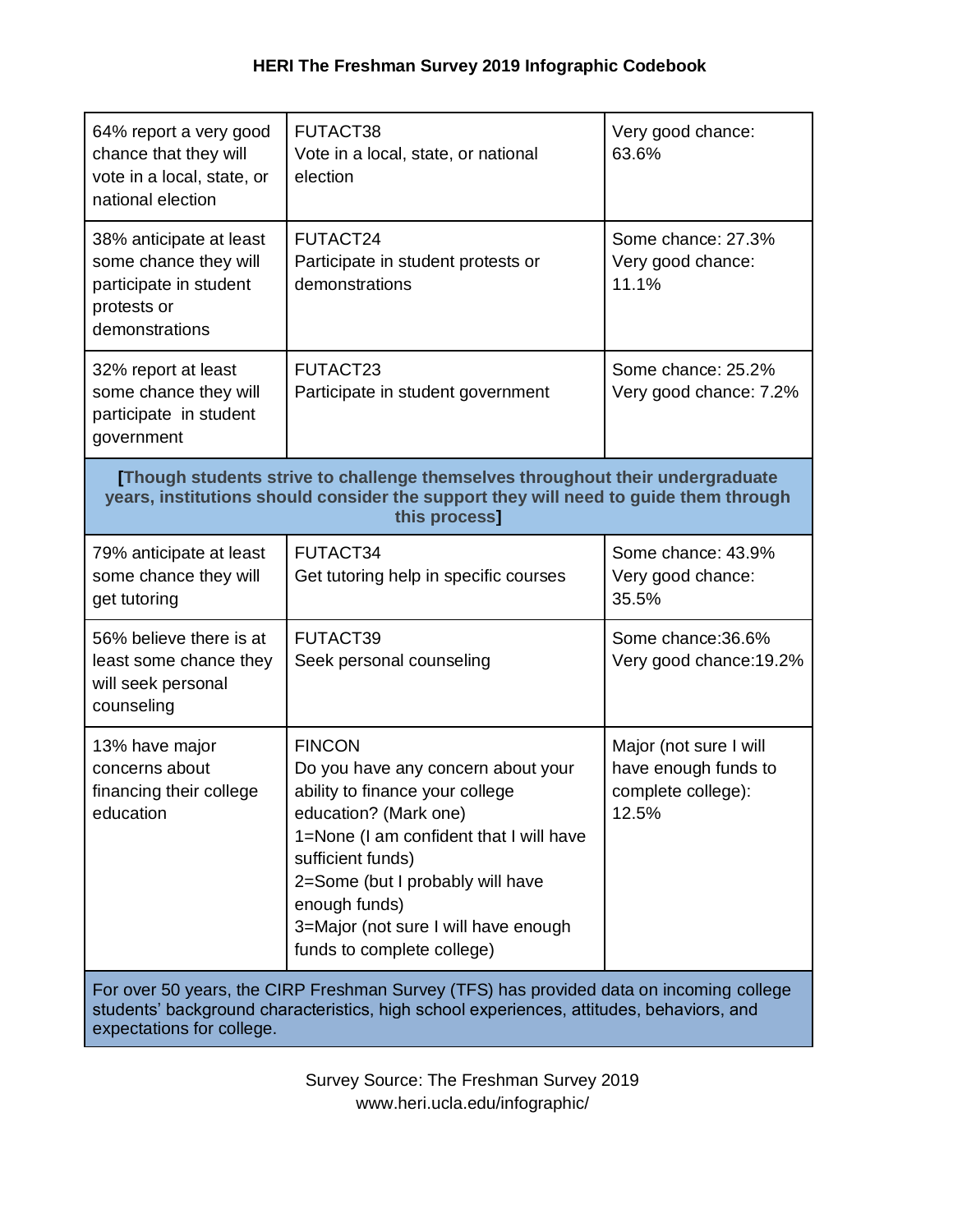| 64% report a very good<br>chance that they will<br>vote in a local, state, or<br>national election                                                                                                               | FUTACT38<br>Vote in a local, state, or national<br>election                                                                                                                                                                                                                                                | Very good chance:<br>63.6%                                                    |  |  |
|------------------------------------------------------------------------------------------------------------------------------------------------------------------------------------------------------------------|------------------------------------------------------------------------------------------------------------------------------------------------------------------------------------------------------------------------------------------------------------------------------------------------------------|-------------------------------------------------------------------------------|--|--|
| 38% anticipate at least<br>some chance they will<br>participate in student<br>protests or<br>demonstrations                                                                                                      | FUTACT24<br>Participate in student protests or<br>demonstrations                                                                                                                                                                                                                                           | Some chance: 27.3%<br>Very good chance:<br>11.1%                              |  |  |
| 32% report at least<br>some chance they will<br>participate in student<br>government                                                                                                                             | FUTACT23<br>Participate in student government                                                                                                                                                                                                                                                              | Some chance: 25.2%<br>Very good chance: 7.2%                                  |  |  |
| [Though students strive to challenge themselves throughout their undergraduate<br>years, institutions should consider the support they will need to guide them through<br>this process]                          |                                                                                                                                                                                                                                                                                                            |                                                                               |  |  |
| 79% anticipate at least<br>some chance they will<br>get tutoring                                                                                                                                                 | FUTACT34<br>Get tutoring help in specific courses                                                                                                                                                                                                                                                          | Some chance: 43.9%<br>Very good chance:<br>35.5%                              |  |  |
| 56% believe there is at<br>least some chance they<br>will seek personal<br>counseling                                                                                                                            | FUTACT39<br>Seek personal counseling                                                                                                                                                                                                                                                                       | Some chance: 36.6%<br>Very good chance: 19.2%                                 |  |  |
| 13% have major<br>concerns about<br>financing their college<br>education                                                                                                                                         | <b>FINCON</b><br>Do you have any concern about your<br>ability to finance your college<br>education? (Mark one)<br>1=None (I am confident that I will have<br>sufficient funds)<br>2=Some (but I probably will have<br>enough funds)<br>3=Major (not sure I will have enough<br>funds to complete college) | Major (not sure I will<br>have enough funds to<br>complete college):<br>12.5% |  |  |
| For over 50 years, the CIRP Freshman Survey (TFS) has provided data on incoming college<br>students' background characteristics, high school experiences, attitudes, behaviors, and<br>expectations for college. |                                                                                                                                                                                                                                                                                                            |                                                                               |  |  |

Survey Source: The Freshman Survey 2019 www.heri.ucla.edu/infographic/